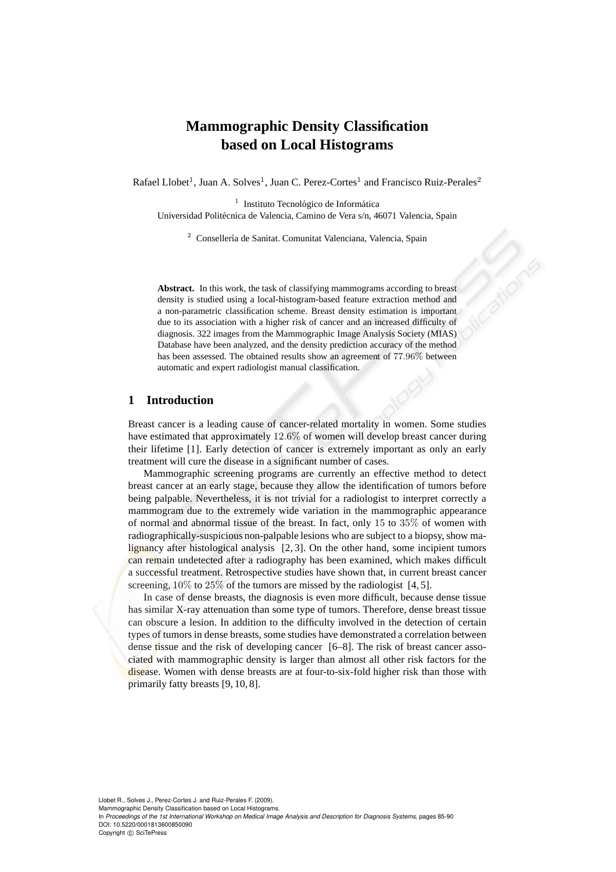# **Mammographic Density Classification based on Local Histograms**

Rafael Llobet<sup>1</sup>, Juan A. Solves<sup>1</sup>, Juan C. Perez-Cortes<sup>1</sup> and Francisco Ruiz-Perales<sup>2</sup>

<sup>1</sup> Instituto Tecnológico de Informática Universidad Politécnica de Valencia, Camino de Vera s/n, 46071 Valencia, Spain

<sup>2</sup> Consellería de Sanitat. Comunitat Valenciana, Valencia, Spain

Abstract. In this work, the task of classifying mammograms according to breast density is studied using a local-histogram-based feature extraction method and a non-parametric classification scheme. Breast density estimation is important due to its association with a higher risk of cancer and an increased difficulty of diagnosis. 322 images from the Mammographic Image Analysis Society (MIAS) Database have been analyzed, and the density prediction accuracy of the method has been assessed. The obtained results show an agreement of 77.96% between automatic and expert radiologist manual classification.

## **1 Introduction**

Breast cancer is a leading cause of cancer-related mortality in women. Some studies have estimated that approximately 12.6% of women will develop breast cancer during their lifetime [1]. Early detection of cancer is extremely important as only an early treatment will cure the disease in a significant number of cases.

Mammographic screening programs are currently an effective method to detect breast cancer at an early stage, because they allow the identification of tumors before being palpable. Nevertheless, it is not trivial for a radiologist to interpret correctly a mammogram due to the extremely wide variation in the mammographic appearance of normal and abnormal tissue of the breast. In fact, only  $15$  to  $35\%$  of women with radiographically-suspicious non-palpable lesions who are subject to a biopsy, show malignancy after histological analysis [2, 3]. On the other hand, some incipient tumors can remain undetected after a radiography has been examined, which makes difficult a successful treatment. Retrospective studies have shown that, in current breast cancer screening,  $10\%$  to  $25\%$  of the tumors are missed by the radiologist [4, 5].

In case of dense breasts, the diagnosis is even more difficult, because dense tissue has similar X-ray attenuation than some type of tumors. Therefore, dense breast tissue can obscure a lesion. In addition to the difficulty involved in the detection of certain types of tumors in dense breasts, some studies have demonstrated a correlation between dense tissue and the risk of developing cancer [6–8]. The risk of breast cancer associated with mammographic density is larger than almost all other risk factors for the disease. Women with dense breasts are at four-to-six-fold higher risk than those with primarily fatty breasts [9, 10, 8].

Mammographic Density Classification based on Local Histograms.

In *Proceedings of the 1st International Workshop on Medical Image Analysis and Description for Diagnosis Systems*, pages 85-90 DOI: 10.5220/0001813600850090

Copyright © SciTePress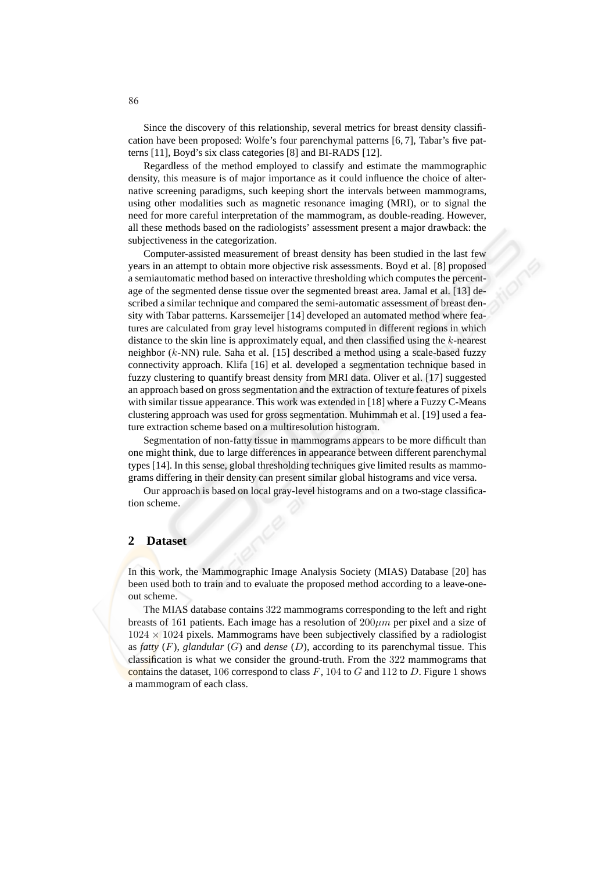Since the discovery of this relationship, several metrics for breast density classification have been proposed: Wolfe's four parenchymal patterns [6, 7], Tabar's five patterns [11], Boyd's six class categories [8] and BI-RADS [12].

Regardless of the method employed to classify and estimate the mammographic density, this measure is of major importance as it could influence the choice of alternative screening paradigms, such keeping short the intervals between mammograms, using other modalities such as magnetic resonance imaging (MRI), or to signal the need for more careful interpretation of the mammogram, as double-reading. However, all these methods based on the radiologists' assessment present a major drawback: the subjectiveness in the categorization.

Computer-assisted measurement of breast density has been studied in the last few years in an attempt to obtain more objective risk assessments. Boyd et al. [8] proposed a semiautomatic method based on interactive thresholding which computes the percentage of the segmented dense tissue over the segmented breast area. Jamal et al. [13] described a similar technique and compared the semi-automatic assessment of breast density with Tabar patterns. Karssemeijer [14] developed an automated method where features are calculated from gray level histograms computed in different regions in which distance to the skin line is approximately equal, and then classified using the k-nearest neighbor (k-NN) rule. Saha et al. [15] described a method using a scale-based fuzzy connectivity approach. Klifa [16] et al. developed a segmentation technique based in fuzzy clustering to quantify breast density from MRI data. Oliver et al. [17] suggested an approach based on gross segmentation and the extraction of texture features of pixels with similar tissue appearance. This work was extended in [18] where a Fuzzy C-Means clustering approach was used for gross segmentation. Muhimmah et al. [19] used a feature extraction scheme based on a multiresolution histogram.

Segmentation of non-fatty tissue in mammograms appears to be more difficult than one might think, due to large differences in appearance between different parenchymal types [14]. In this sense, global thresholding techniques give limited results as mammograms differing in their density can present similar global histograms and vice versa.

Our approach is based on local gray-level histograms and on a two-stage classification scheme.

## **2 Dataset**

In this work, the Mammographic Image Analysis Society (MIAS) Database [20] has been used both to train and to evaluate the proposed method according to a leave-oneout scheme.

The MIAS database contains 322 mammograms corresponding to the left and right breasts of 161 patients. Each image has a resolution of  $200 \mu m$  per pixel and a size of  $1024 \times 1024$  pixels. Mammograms have been subjectively classified by a radiologist as *fatty* (F), *glandular* (G) and *dense* (D), according to its parenchymal tissue. This classification is what we consider the ground-truth. From the 322 mammograms that contains the dataset, 106 correspond to class  $F$ , 104 to  $G$  and 112 to  $D$ . Figure 1 shows a mammogram of each class.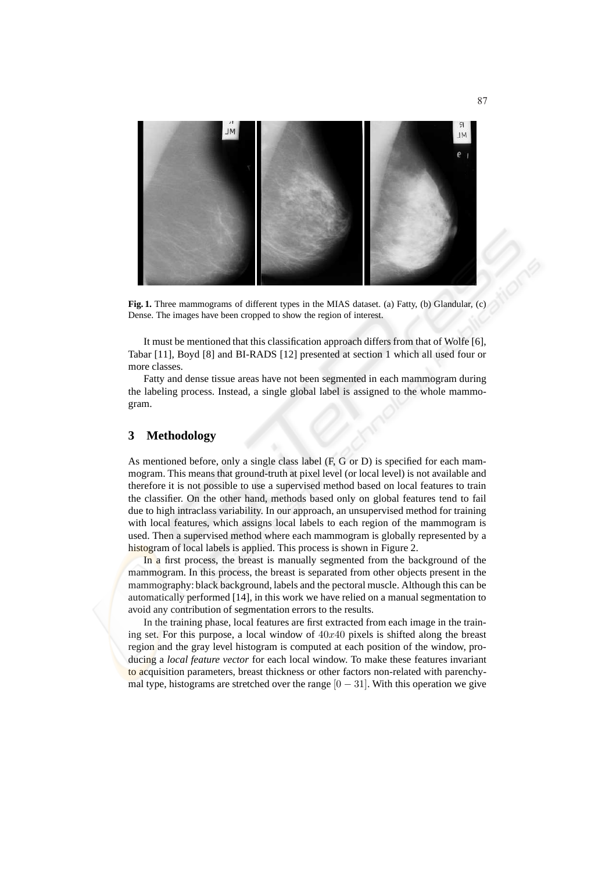

**Fig. 1.** Three mammograms of different types in the MIAS dataset. (a) Fatty, (b) Glandular, (c) Dense. The images have been cropped to show the region of interest.

It must be mentioned that this classification approach differs from that of Wolfe [6], Tabar [11], Boyd [8] and BI-RADS [12] presented at section 1 which all used four or more classes.

Fatty and dense tissue areas have not been segmented in each mammogram during the labeling process. Instead, a single global label is assigned to the whole mammogram.

# **3 Methodology**

As mentioned before, only a single class label (F, G or D) is specified for each mammogram. This means that ground-truth at pixel level (or local level) is not available and therefore it is not possible to use a supervised method based on local features to train the classifier. On the other hand, methods based only on global features tend to fail due to high intraclass variability. In our approach, an unsupervised method for training with local features, which assigns local labels to each region of the mammogram is used. Then a supervised method where each mammogram is globally represented by a histogram of local labels is applied. This process is shown in Figure 2.

In a first process, the breast is manually segmented from the background of the mammogram. In this process, the breast is separated from other objects present in the mammography: black background, labels and the pectoral muscle. Although this can be automatically performed [14], in this work we have relied on a manual segmentation to avoid any contribution of segmentation errors to the results.

In the training phase, local features are first extracted from each image in the training set. For this purpose, a local window of  $40x40$  pixels is shifted along the breast region and the gray level histogram is computed at each position of the window, producing a *local feature vector* for each local window. To make these features invariant to acquisition parameters, breast thickness or other factors non-related with parenchymal type, histograms are stretched over the range  $[0 - 31]$ . With this operation we give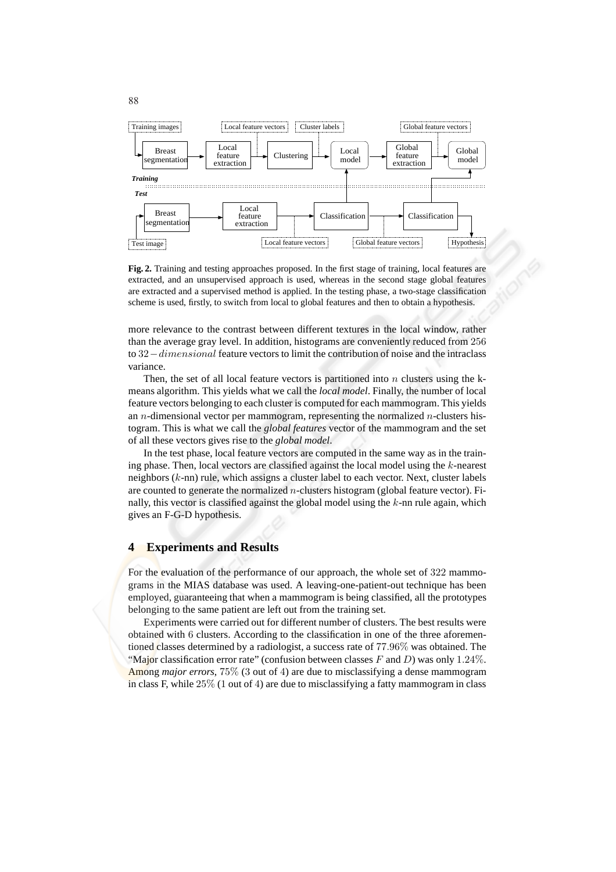

**Fig. 2.** Training and testing approaches proposed. In the first stage of training, local features are extracted, and an unsupervised approach is used, whereas in the second stage global features are extracted and a supervised method is applied. In the testing phase, a two-stage classification scheme is used, firstly, to switch from local to global features and then to obtain a hypothesis.

more relevance to the contrast between different textures in the local window, rather than the average gray level. In addition, histograms are conveniently reduced from 256 to 32−dimensional feature vectors to limit the contribution of noise and the intraclass variance.

Then, the set of all local feature vectors is partitioned into  $n$  clusters using the kmeans algorithm. This yields what we call the *local model*. Finally, the number of local feature vectors belonging to each cluster is computed for each mammogram. This yields an *n*-dimensional vector per mammogram, representing the normalized *n*-clusters histogram. This is what we call the *global features* vector of the mammogram and the set of all these vectors gives rise to the *global model*.

In the test phase, local feature vectors are computed in the same way as in the training phase. Then, local vectors are classified against the local model using the  $k$ -nearest neighbors (k-nn) rule, which assigns a cluster label to each vector. Next, cluster labels are counted to generate the normalized n-clusters histogram (global feature vector). Finally, this vector is classified against the global model using the  $k$ -nn rule again, which gives an F-G-D hypothesis.

#### **4 Experiments and Results**

For the evaluation of the performance of our approach, the whole set of 322 mammograms in the MIAS database was used. A leaving-one-patient-out technique has been employed, guaranteeing that when a mammogram is being classified, all the prototypes belonging to the same patient are left out from the training set.

Experiments were carried out for different number of clusters. The best results were obtained with 6 clusters. According to the classification in one of the three aforementioned classes determined by a radiologist, a success rate of 77.96% was obtained. The "Major classification error rate" (confusion between classes F and D) was only 1.24%. Among *major errors*, 75% (3 out of 4) are due to misclassifying a dense mammogram in class F, while 25% (1 out of 4) are due to misclassifying a fatty mammogram in class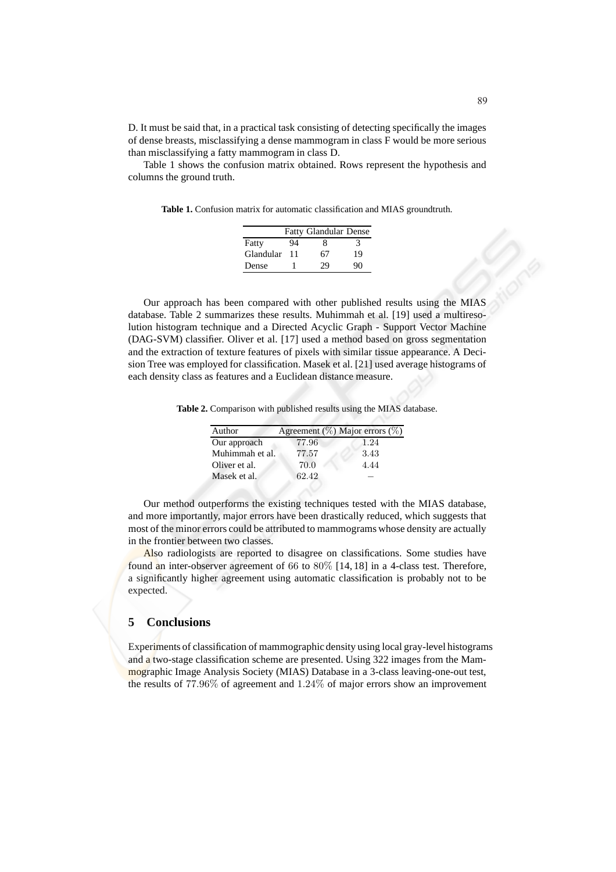D. It must be said that, in a practical task consisting of detecting specifically the images of dense breasts, misclassifying a dense mammogram in class F would be more serious than misclassifying a fatty mammogram in class D.

Table 1 shows the confusion matrix obtained. Rows represent the hypothesis and columns the ground truth.

**Table 1.** Confusion matrix for automatic classification and MIAS groundtruth.

|           |    | <b>Fatty Glandular Dense</b> |    |
|-----------|----|------------------------------|----|
| Fatty     | 94 | 8                            | 3  |
| Glandular | 11 | 67                           | 19 |
| Dense     |    | 29                           | 90 |

Our approach has been compared with other published results using the MIAS database. Table 2 summarizes these results. Muhimmah et al. [19] used a multiresolution histogram technique and a Directed Acyclic Graph - Support Vector Machine (DAG-SVM) classifier. Oliver et al. [17] used a method based on gross segmentation and the extraction of texture features of pixels with similar tissue appearance. A Decision Tree was employed for classification. Masek et al. [21] used average histograms of each density class as features and a Euclidean distance measure.

**Table 2.** Comparison with published results using the MIAS database.

| Author          |       | Agreement (%) Major errors (%) |
|-----------------|-------|--------------------------------|
| Our approach    | 77.96 | 1.24                           |
| Muhimmah et al. | 77.57 | 3.43                           |
| Oliver et al.   | 70.0  | 4.44                           |
| Masek et al.    | 62.42 |                                |
|                 |       |                                |

Our method outperforms the existing techniques tested with the MIAS database, and more importantly, major errors have been drastically reduced, which suggests that most of the minor errors could be attributed to mammograms whose density are actually in the frontier between two classes.

Also radiologists are reported to disagree on classifications. Some studies have found an inter-observer agreement of 66 to 80% [14, 18] in a 4-class test. Therefore, a significantly higher agreement using automatic classification is probably not to be expected.

## **5 Conclusions**

Experiments of classification of mammographic density using local gray-level histograms and a two-stage classification scheme are presented. Using 322 images from the Mammographic Image Analysis Society (MIAS) Database in a 3-class leaving-one-out test, the results of 77.96% of agreement and 1.24% of major errors show an improvement